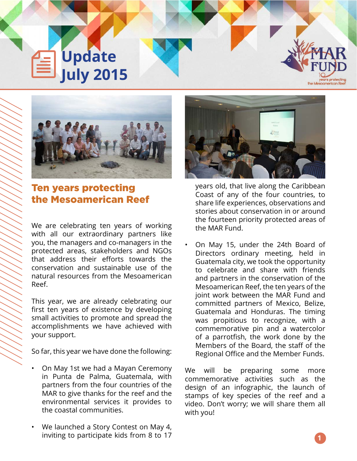**Update July 2015**



# Ten years protecting the Mesoamerican Reef

We are celebrating ten years of working with all our extraordinary partners like you, the managers and co-managers in the protected areas, stakeholders and NGOs that address their efforts towards the conservation and sustainable use of the natural resources from the Mesoamerican Reef.

This year, we are already celebrating our first ten years of existence by developing small activities to promote and spread the accomplishments we have achieved with your support.

So far, this year we have done the following:

- On May 1st we had a Mayan Ceremony in Punta de Palma, Guatemala, with partners from the four countries of the MAR to give thanks for the reef and the environmental services it provides to the coastal communities.
- We launched a Story Contest on May 4, inviting to participate kids from 8 to 17

years old, that live along the Caribbean Coast of any of the four countries, to share life experiences, observations and stories about conservation in or around the fourteen priority protected areas of the MAR Fund.

• On May 15, under the 24th Board of Directors ordinary meeting, held in Guatemala city, we took the opportunity to celebrate and share with friends and partners in the conservation of the Mesoamerican Reef, the ten years of the joint work between the MAR Fund and committed partners of Mexico, Belize, Guatemala and Honduras. The timing was propitious to recognize, with a commemorative pin and a watercolor of a parrotfish, the work done by the Members of the Board, the staff of the Regional Office and the Member Funds.

We will be preparing some more commemorative activities such as the design of an infographic, the launch of stamps of key species of the reef and a video. Don't worry; we will share them all with you!

comerican Re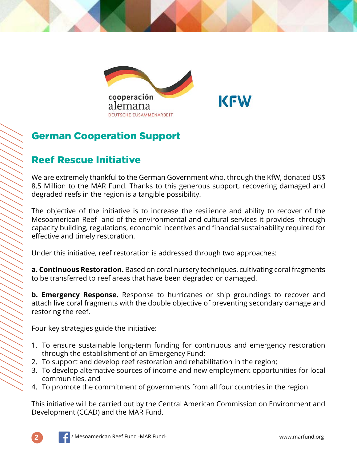

## German Cooperation Support

## Reef Rescue Initiative

We are extremely thankful to the German Government who, through the KfW, donated US\$ 8.5 Million to the MAR Fund. Thanks to this generous support, recovering damaged and degraded reefs in the region is a tangible possibility.

The objective of the initiative is to increase the resilience and ability to recover of the Mesoamerican Reef -and of the environmental and cultural services it provides- through capacity building, regulations, economic incentives and financial sustainability required for effective and timely restoration.

Under this initiative, reef restoration is addressed through two approaches:

**a. Continuous Restoration.** Based on coral nursery techniques, cultivating coral fragments to be transferred to reef areas that have been degraded or damaged.

**b. Emergency Response.** Response to hurricanes or ship groundings to recover and attach live coral fragments with the double objective of preventing secondary damage and restoring the reef.

Four key strategies guide the initiative:

- 1. To ensure sustainable long-term funding for continuous and emergency restoration through the establishment of an Emergency Fund;
- 2. To support and develop reef restoration and rehabilitation in the region;
- 3. To develop alternative sources of income and new employment opportunities for local communities, and
- 4. To promote the commitment of governments from all four countries in the region.

This initiative will be carried out by the Central American Commission on Environment and Development (CCAD) and the MAR Fund.

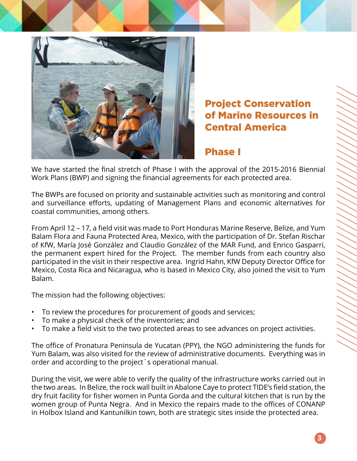

## Project Conservation of Marine Resources in Central America

### Phase I

We have started the final stretch of Phase I with the approval of the 2015-2016 Biennial Work Plans (BWP) and signing the financial agreements for each protected area.

The BWPs are focused on priority and sustainable activities such as monitoring and control and surveillance efforts, updating of Management Plans and economic alternatives for coastal communities, among others.

From April 12 – 17, a field visit was made to Port Honduras Marine Reserve, Belize, and Yum Balam Flora and Fauna Protected Area, Mexico, with the participation of Dr. Stefan Rischar of KfW, María José González and Claudio González of the MAR Fund, and Enrico Gasparri, the permanent expert hired for the Project. The member funds from each country also participated in the visit in their respective area. Ingrid Hahn, KfW Deputy Director Office for Mexico, Costa Rica and Nicaragua, who is based in Mexico City, also joined the visit to Yum Balam.

The mission had the following objectives:

- To review the procedures for procurement of goods and services;
- To make a physical check of the inventories; and
- To make a field visit to the two protected areas to see advances on project activities.

The office of Pronatura Peninsula de Yucatan (PPY), the NGO administering the funds for Yum Balam, was also visited for the review of administrative documents. Everything was in order and according to the project´s operational manual.

During the visit, we were able to verify the quality of the infrastructure works carried out in the two areas. In Belize, the rock wall built in Abalone Caye to protect TIDE's field station, the dry fruit facility for fisher women in Punta Gorda and the cultural kitchen that is run by the women group of Punta Negra. And in Mexico the repairs made to the offices of CONANP in Holbox Island and Kantunilkin town, both are strategic sites inside the protected area.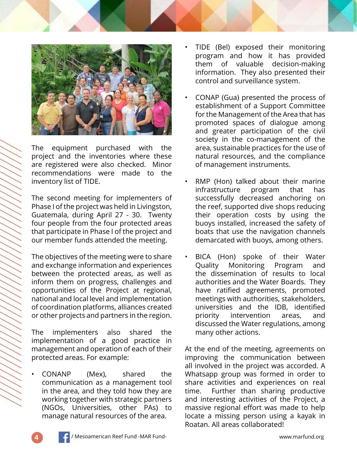

The equipment purchased with the project and the inventories where these are registered were also checked. Minor recommendations were made to the inventory list of TIDE.

The second meeting for implementers of Phase I of the project was held in Livingston, Guatemala, during April 27 - 30. Twenty four people from the four protected areas that participate in Phase I of the project and our member funds attended the meeting.

The objectives of the meeting were to share and exchange information and experiences between the protected areas, as well as inform them on progress, challenges and opportunities of the Project at regional, national and local level and implementation of coordination platforms, alliances created or other projects and partners in the region.

The implementers also shared the implementation of a good practice in management and operation of each of their protected areas. For example:

• CONANP (Mex), shared the communication as a management tool in the area, and they told how they are working together with strategic partners (NGOs, Universities, other PAs) to manage natural resources of the area.

- TIDE (Bel) exposed their monitoring program and how it has provided them of valuable decision-making information. They also presented their control and surveillance system.
- CONAP (Gua) presented the process of establishment of a Support Committee for the Management of the Area that has promoted spaces of dialogue among and greater participation of the civil society in the co-management of the area, sustainable practices for the use of natural resources, and the compliance of management instruments.
- RMP (Hon) talked about their marine infrastructure program that has successfully decreased anchoring on the reef, supported dive shops reducing their operation costs by using the buoys installed, increased the safety of boats that use the navigation channels demarcated with buoys, among others.
- BICA (Hon) spoke of their Water Quality Monitoring Program and the dissemination of results to local authorities and the Water Boards. They have ratified agreements, promoted meetings with authorities, stakeholders, universities and the IDB, identified priority intervention areas, and discussed the Water regulations, among many other actions.

At the end of the meeting, agreements on improving the communication between all involved in the project was accorded. A Whatsapp group was formed in order to share activities and experiences on real time. Further than sharing productive and interesting activities of the Project, a massive regional effort was made to help locate a missing person using a kayak in Roatan. All areas collaborated!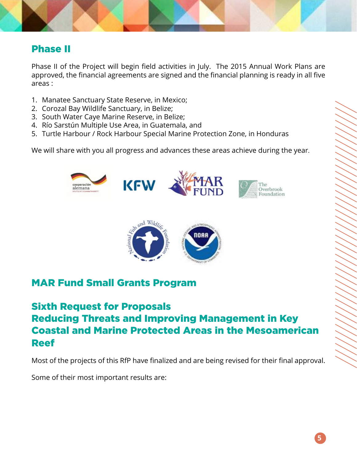### Phase II

Phase II of the Project will begin field activities in July. The 2015 Annual Work Plans are approved, the financial agreements are signed and the financial planning is ready in all five areas :

- 1. Manatee Sanctuary State Reserve, in Mexico;
- 2. Corozal Bay Wildlife Sanctuary, in Belize;
- 3. South Water Caye Marine Reserve, in Belize;
- 4. Río Sarstún Multiple Use Area, in Guatemala, and
- 5. Turtle Harbour / Rock Harbour Special Marine Protection Zone, in Honduras

We will share with you all progress and advances these areas achieve during the year.



### MAR Fund Small Grants Program

## Sixth Request for Proposals Reducing Threats and Improving Management in Key Coastal and Marine Protected Areas in the Mesoamerican Reef

Most of the projects of this RfP have finalized and are being revised for their final approval.

Some of their most important results are: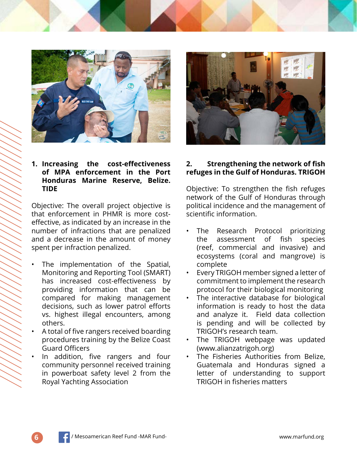

### **1. Increasing the cost-effectiveness of MPA enforcement in the Port Honduras Marine Reserve, Belize. TIDE**

Objective: The overall project objective is that enforcement in PHMR is more costeffective, as indicated by an increase in the number of infractions that are penalized and a decrease in the amount of money spent per infraction penalized.

- The implementation of the Spatial, Monitoring and Reporting Tool (SMART) has increased cost-effectiveness by providing information that can be compared for making management decisions, such as lower patrol efforts vs. highest illegal encounters, among others.
- A total of five rangers received boarding procedures training by the Belize Coast Guard Officers
- In addition, five rangers and four community personnel received training in powerboat safety level 2 from the Royal Yachting Association

### **2. Strengthening the network of fish refuges in the Gulf of Honduras. TRIGOH**

Objective: To strengthen the fish refuges network of the Gulf of Honduras through political incidence and the management of scientific information.

- The Research Protocol prioritizing the assessment of fish species (reef, commercial and invasive) and ecosystems (coral and mangrove) is complete
- Every TRIGOH member signed a letter of commitment to implement the research protocol for their biological monitoring
- The interactive database for biological information is ready to host the data and analyze it. Field data collection is pending and will be collected by TRIGOH's research team.
- The TRIGOH webpage was updated (www.alianzatrigoh.org)
- The Fisheries Authorities from Belize. Guatemala and Honduras signed a letter of understanding to support TRIGOH in fisheries matters

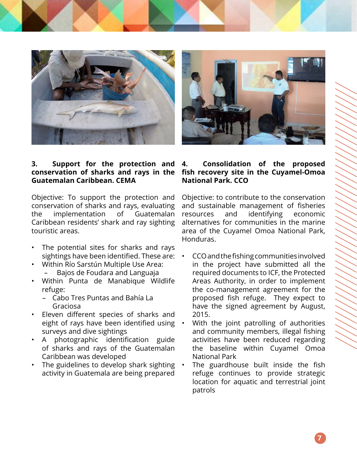



### **3. Support for the protection and conservation of sharks and rays in the Guatemalan Caribbean. CEMA**

Objective: To support the protection and conservation of sharks and rays, evaluating the implementation of Guatemalan Caribbean residents' shark and ray sighting touristic areas.

- The potential sites for sharks and rays sightings have been identified. These are:
- Within Río Sarstún Multiple Use Area:
	- Bajos de Foudara and Languaja
- Within Punta de Manabique Wildlife refuge:
	- Cabo Tres Puntas and Bahía La Graciosa
- Eleven different species of sharks and eight of rays have been identified using surveys and dive sightings
- A photographic identification guide of sharks and rays of the Guatemalan Caribbean was developed
- The guidelines to develop shark sighting activity in Guatemala are being prepared

### **4. Consolidation of the proposed fish recovery site in the Cuyamel-Omoa National Park. CCO**

Objective: to contribute to the conservation and sustainable management of fisheries resources and identifying economic alternatives for communities in the marine area of the Cuyamel Omoa National Park, Honduras.

- CCO and the fishing communities involved in the project have submitted all the required documents to ICF, the Protected Areas Authority, in order to implement the co-management agreement for the proposed fish refuge. They expect to have the signed agreement by August, 2015.
- With the joint patrolling of authorities and community members, illegal fishing activities have been reduced regarding the baseline within Cuyamel Omoa National Park
- The guardhouse built inside the fish refuge continues to provide strategic location for aquatic and terrestrial joint patrols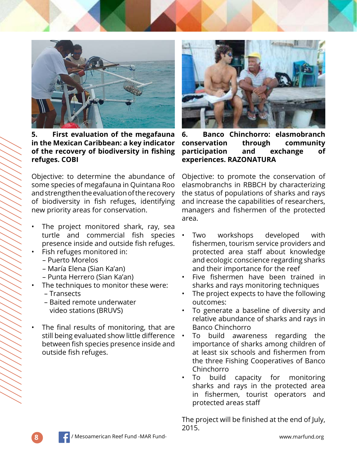

**5. First evaluation of the megafauna in the Mexican Caribbean: a key indicator of the recovery of biodiversity in fishing refuges. COBI**

Objective: to determine the abundance of some species of megafauna in Quintana Roo and strengthen the evaluation of the recovery of biodiversity in fish refuges, identifying new priority areas for conservation.

- The project monitored shark, ray, sea turtle and commercial fish species presence inside and outside fish refuges.
- Fish refuges monitored in:
	- Puerto Morelos
	- María Elena (Sian Ka'an)
	- Punta Herrero (Sian Ka'an)
- The techniques to monitor these were:
	- Transects
	- Baited remote underwater video stations (BRUVS)
- The final results of monitoring, that are still being evaluated show little difference between fish species presence inside and outside fish refuges.



**6. Banco Chinchorro: elasmobranch conservation through community participation and exchange of experiences. RAZONATURA**

Objective: to promote the conservation of elasmobranchs in RBBCH by characterizing the status of populations of sharks and rays and increase the capabilities of researchers, managers and fishermen of the protected area.

- Two workshops developed with fishermen, tourism service providers and protected area staff about knowledge and ecologic conscience regarding sharks and their importance for the reef
- Five fishermen have been trained in sharks and rays monitoring techniques
- The project expects to have the following outcomes:
- To generate a baseline of diversity and relative abundance of sharks and rays in Banco Chinchorro
- To build awareness regarding the importance of sharks among children of at least six schools and fishermen from the three Fishing Cooperatives of Banco Chinchorro
- To build capacity for monitoring sharks and rays in the protected area in fishermen, tourist operators and protected areas staff

The project will be finished at the end of July, 2015.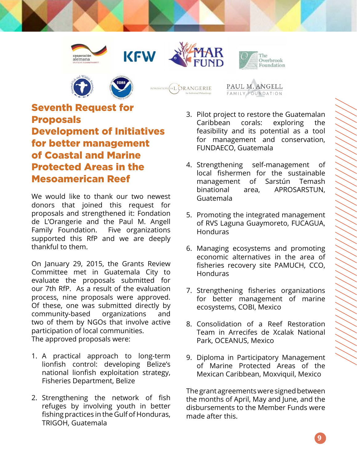









PAUL M. ANGELL FAMILY FOUNDATION

## Seventh Request for Proposals Development of Initiatives for better management of Coastal and Marine Protected Areas in the Mesoamerican Reef

We would like to thank our two newest donors that joined this request for proposals and strengthened it: Fondation de L'Orangerie and the Paul M. Angell Family Foundation. Five organizations supported this RfP and we are deeply thankful to them.

On January 29, 2015, the Grants Review Committee met in Guatemala City to evaluate the proposals submitted for our 7th RfP. As a result of the evaluation process, nine proposals were approved. Of these, one was submitted directly by community-based organizations and two of them by NGOs that involve active participation of local communities. The approved proposals were:

- 1. A practical approach to long-term lionfish control: developing Belize's national lionfish exploitation strategy, Fisheries Department, Belize
- 2. Strengthening the network of fish refuges by involving youth in better fishing practices in the Gulf of Honduras, TRIGOH, Guatemala
- 3. Pilot project to restore the Guatemalan Caribbean corals: exploring the feasibility and its potential as a tool for management and conservation, FUNDAECO, Guatemala
- 4. Strengthening self-management of local fishermen for the sustainable management of Sarstún Temash binational area, APROSARSTUN, Guatemala
- 5. Promoting the integrated management of RVS Laguna Guaymoreto, FUCAGUA, Honduras
- 6. Managing ecosystems and promoting economic alternatives in the area of fisheries recovery site PAMUCH, CCO, Honduras
- 7. Strengthening fisheries organizations for better management of marine ecosystems, COBI, Mexico
- 8. Consolidation of a Reef Restoration Team in Arrecifes de Xcalak National Park, OCEANUS, Mexico
- 9. Diploma in Participatory Management of Marine Protected Areas of the Mexican Caribbean, Moxviquil, Mexico

The grant agreements were signed between the months of April, May and June, and the disbursements to the Member Funds were made after this.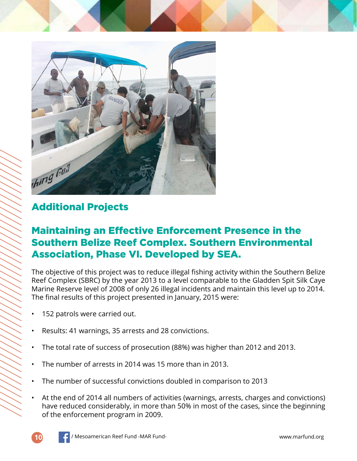

## Additional Projects

## Maintaining an Effective Enforcement Presence in the Southern Belize Reef Complex. Southern Environmental Association, Phase VI. Developed by SEA.

The objective of this project was to reduce illegal fishing activity within the Southern Belize Reef Complex (SBRC) by the year 2013 to a level comparable to the Gladden Spit Silk Caye Marine Reserve level of 2008 of only 26 illegal incidents and maintain this level up to 2014. The final results of this project presented in January, 2015 were:

- 152 patrols were carried out.
- Results: 41 warnings, 35 arrests and 28 convictions.
- The total rate of success of prosecution (88%) was higher than 2012 and 2013.
- The number of arrests in 2014 was 15 more than in 2013.
- The number of successful convictions doubled in comparison to 2013
- At the end of 2014 all numbers of activities (warnings, arrests, charges and convictions) have reduced considerably, in more than 50% in most of the cases, since the beginning of the enforcement program in 2009.

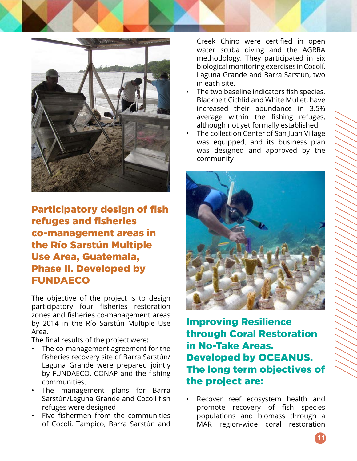

## Participatory design of fish refuges and fisheries co-management areas in the Río Sarstún Multiple Use Area, Guatemala, Phase II. Developed by **FUNDAECO**

The objective of the project is to design participatory four fisheries restoration zones and fisheries co-management areas by 2014 in the Río Sarstún Multiple Use Area.

The final results of the project were:

- The co-management agreement for the fisheries recovery site of Barra Sarstún/ Laguna Grande were prepared jointly by FUNDAECO, CONAP and the fishing communities.
- The management plans for Barra Sarstún/Laguna Grande and Cocolí fish refuges were designed
- Five fishermen from the communities of Cocolí, Tampico, Barra Sarstún and

Creek Chino were certified in open water scuba diving and the AGRRA methodology. They participated in six biological monitoring exercises in Cocolí, Laguna Grande and Barra Sarstún, two in each site.

- The two baseline indicators fish species, Blackbelt Cichlid and White Mullet, have increased their abundance in 3.5% average within the fishing refuges, although not yet formally established
- The collection Center of San Juan Village was equipped, and its business plan was designed and approved by the community



Improving Resilience through Coral Restoration in No-Take Areas. Developed by OCEANUS. The long term objectives of the project are:

Recover reef ecosystem health and promote recovery of fish species populations and biomass through a MAR region-wide coral restoration